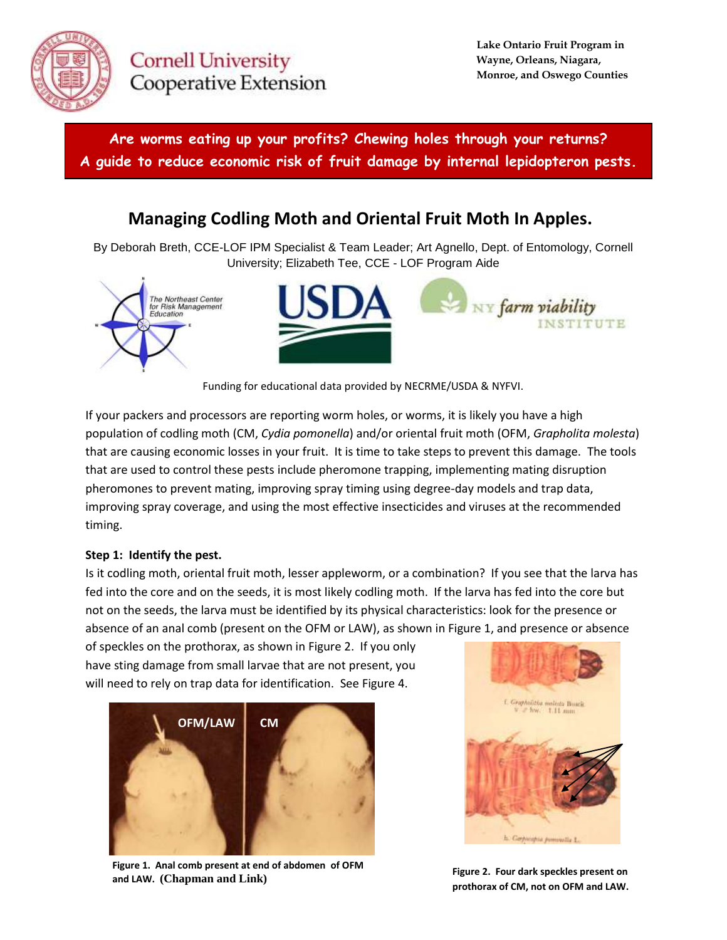

**Cornell University** Cooperative Extension

**Are worms eating up your profits? Chewing holes through your returns? A guide to reduce economic risk of fruit damage by internal lepidopteron pests.**

# **Managing Codling Moth and Oriental Fruit Moth In Apples.**

By Deborah Breth, CCE-LOF IPM Specialist & Team Leader; Art Agnello, Dept. of Entomology, Cornell University; Elizabeth Tee, CCE - LOF Program Aide





Funding for educational data provided by NECRME/USDA & NYFVI.

If your packers and processors are reporting worm holes, or worms, it is likely you have a high population of codling moth (CM, *Cydia pomonella*) and/or oriental fruit moth (OFM, *Grapholita molesta*) that are causing economic losses in your fruit. It is time to take steps to prevent this damage. The tools that are used to control these pests include pheromone trapping, implementing mating disruption pheromones to prevent mating, improving spray timing using degree-day models and trap data, improving spray coverage, and using the most effective insecticides and viruses at the recommended timing.

## **Step 1: Identify the pest.**

Is it codling moth, oriental fruit moth, lesser appleworm, or a combination? If you see that the larva has fed into the core and on the seeds, it is most likely codling moth. If the larva has fed into the core but not on the seeds, the larva must be identified by its physical characteristics: look for the presence or absence of an anal comb (present on the OFM or LAW), as shown in Figure 1, and presence or absence

of speckles on the prothorax, as shown in Figure 2. If you only have sting damage from small larvae that are not present, you will need to rely on trap data for identification. See Figure 4.



**Figure 1. Anal comb present at end of abdomen of OFM and LAW. (Chapman and Link)**



**Figure 2. Four dark speckles present on prothorax of CM, not on OFM and LAW.**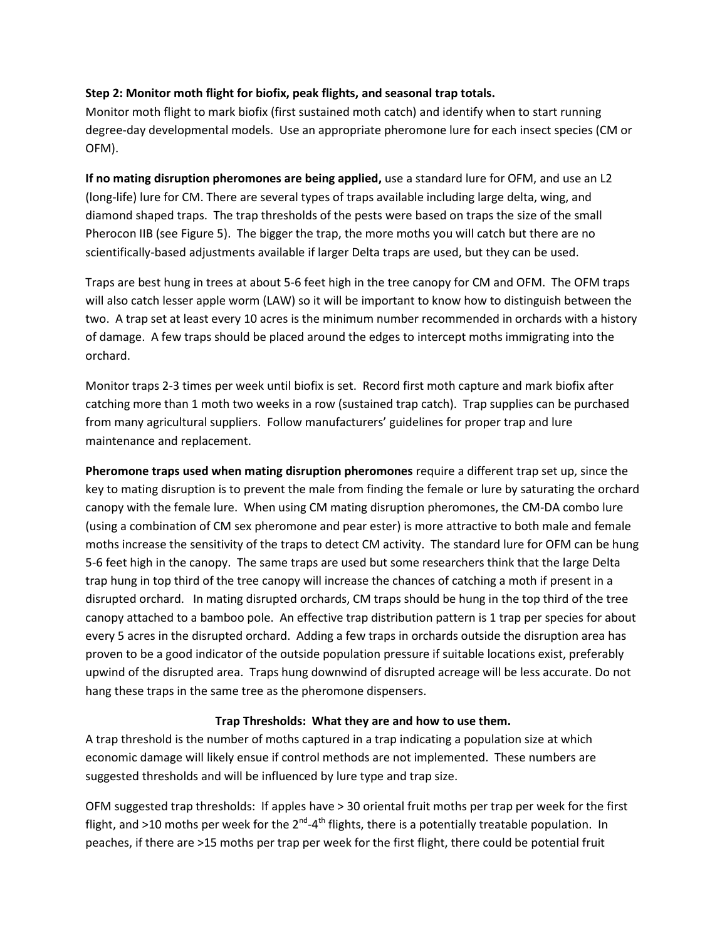## **Step 2: Monitor moth flight for biofix, peak flights, and seasonal trap totals.**

Monitor moth flight to mark biofix (first sustained moth catch) and identify when to start running degree-day developmental models. Use an appropriate pheromone lure for each insect species (CM or OFM).

**If no mating disruption pheromones are being applied,** use a standard lure for OFM, and use an L2 (long-life) lure for CM. There are several types of traps available including large delta, wing, and diamond shaped traps. The trap thresholds of the pests were based on traps the size of the small Pherocon IIB (see Figure 5). The bigger the trap, the more moths you will catch but there are no scientifically-based adjustments available if larger Delta traps are used, but they can be used.

Traps are best hung in trees at about 5-6 feet high in the tree canopy for CM and OFM. The OFM traps will also catch lesser apple worm (LAW) so it will be important to know how to distinguish between the two. A trap set at least every 10 acres is the minimum number recommended in orchards with a history of damage. A few traps should be placed around the edges to intercept moths immigrating into the orchard.

Monitor traps 2-3 times per week until biofix is set. Record first moth capture and mark biofix after catching more than 1 moth two weeks in a row (sustained trap catch). Trap supplies can be purchased from many agricultural suppliers. Follow manufacturers' guidelines for proper trap and lure maintenance and replacement.

**Pheromone traps used when mating disruption pheromones** require a different trap set up, since the key to mating disruption is to prevent the male from finding the female or lure by saturating the orchard canopy with the female lure. When using CM mating disruption pheromones, the CM-DA combo lure (using a combination of CM sex pheromone and pear ester) is more attractive to both male and female moths increase the sensitivity of the traps to detect CM activity. The standard lure for OFM can be hung 5-6 feet high in the canopy. The same traps are used but some researchers think that the large Delta trap hung in top third of the tree canopy will increase the chances of catching a moth if present in a disrupted orchard. In mating disrupted orchards, CM traps should be hung in the top third of the tree canopy attached to a bamboo pole. An effective trap distribution pattern is 1 trap per species for about every 5 acres in the disrupted orchard. Adding a few traps in orchards outside the disruption area has proven to be a good indicator of the outside population pressure if suitable locations exist, preferably upwind of the disrupted area. Traps hung downwind of disrupted acreage will be less accurate. Do not hang these traps in the same tree as the pheromone dispensers.

## **Trap Thresholds: What they are and how to use them.**

A trap threshold is the number of moths captured in a trap indicating a population size at which economic damage will likely ensue if control methods are not implemented. These numbers are suggested thresholds and will be influenced by lure type and trap size.

OFM suggested trap thresholds: If apples have > 30 oriental fruit moths per trap per week for the first flight, and >10 moths per week for the 2<sup>nd</sup>-4<sup>th</sup> flights, there is a potentially treatable population. In peaches, if there are >15 moths per trap per week for the first flight, there could be potential fruit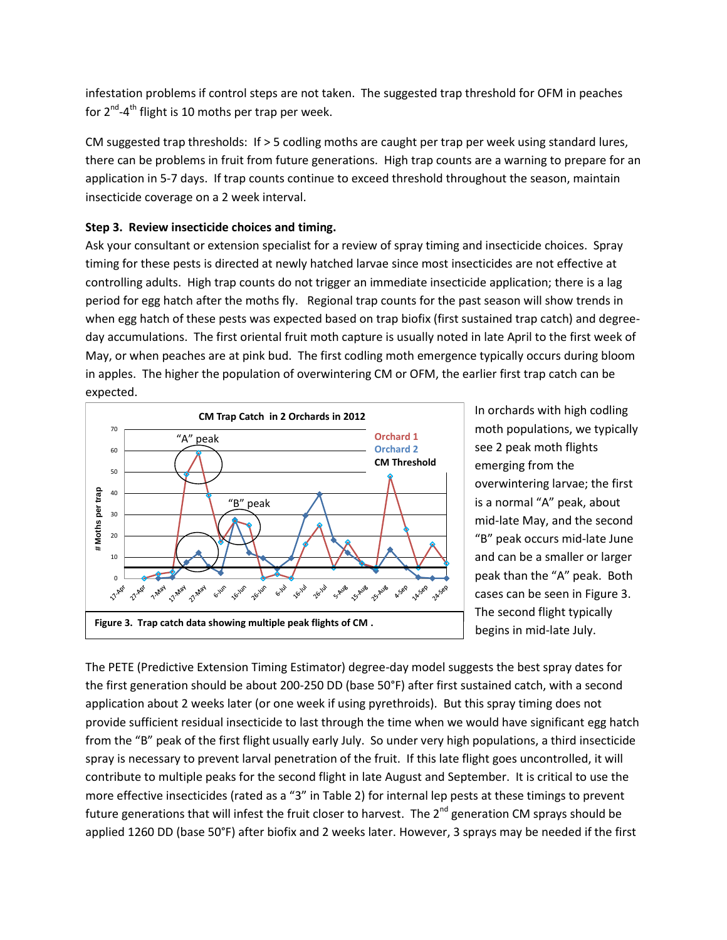infestation problems if control steps are not taken. The suggested trap threshold for OFM in peaches for 2<sup>nd</sup>-4<sup>th</sup> flight is 10 moths per trap per week.

CM suggested trap thresholds: If > 5 codling moths are caught per trap per week using standard lures, there can be problems in fruit from future generations. High trap counts are a warning to prepare for an application in 5-7 days. If trap counts continue to exceed threshold throughout the season, maintain insecticide coverage on a 2 week interval.

## **Step 3. Review insecticide choices and timing.**

Ask your consultant or extension specialist for a review of spray timing and insecticide choices. Spray timing for these pests is directed at newly hatched larvae since most insecticides are not effective at controlling adults. High trap counts do not trigger an immediate insecticide application; there is a lag period for egg hatch after the moths fly. Regional trap counts for the past season will show trends in when egg hatch of these pests was expected based on trap biofix (first sustained trap catch) and degreeday accumulations. The first oriental fruit moth capture is usually noted in late April to the first week of May, or when peaches are at pink bud. The first codling moth emergence typically occurs during bloom in apples. The higher the population of overwintering CM or OFM, the earlier first trap catch can be expected.



In orchards with high codling moth populations, we typically see 2 peak moth flights emerging from the overwintering larvae; the first is a normal "A" peak, about mid-late May, and the second "B" peak occurs mid-late June and can be a smaller or larger peak than the "A" peak. Both cases can be seen in Figure 3. The second flight typically begins in mid-late July.

The PETE (Predictive Extension Timing Estimator) degree-day model suggests the best spray dates for the first generation should be about 200-250 DD (base 50°F) after first sustained catch, with a second application about 2 weeks later (or one week if using pyrethroids). But this spray timing does not provide sufficient residual insecticide to last through the time when we would have significant egg hatch from the "B" peak of the first flight usually early July. So under very high populations, a third insecticide spray is necessary to prevent larval penetration of the fruit. If this late flight goes uncontrolled, it will contribute to multiple peaks for the second flight in late August and September. It is critical to use the more effective insecticides (rated as a "3" in Table 2) for internal lep pests at these timings to prevent future generations that will infest the fruit closer to harvest. The  $2^{nd}$  generation CM sprays should be applied 1260 DD (base 50°F) after biofix and 2 weeks later. However, 3 sprays may be needed if the first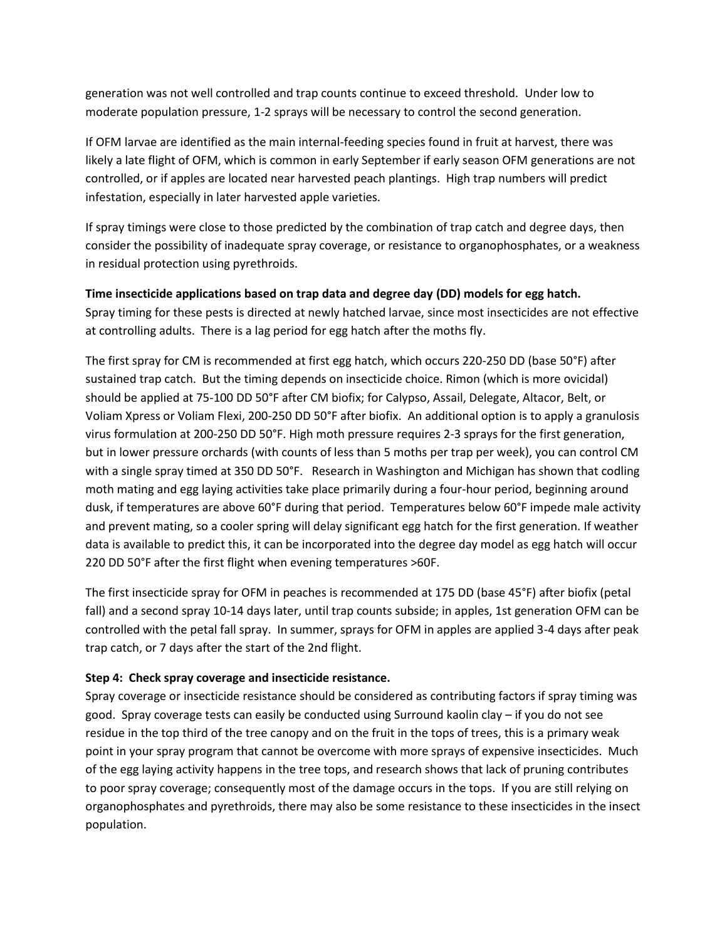generation was not well controlled and trap counts continue to exceed threshold. Under low to moderate population pressure, 1-2 sprays will be necessary to control the second generation.

If OFM larvae are identified as the main internal-feeding species found in fruit at harvest, there was likely a late flight of OFM, which is common in early September if early season OFM generations are not controlled, or if apples are located near harvested peach plantings. High trap numbers will predict infestation, especially in later harvested apple varieties.

If spray timings were close to those predicted by the combination of trap catch and degree days, then consider the possibility of inadequate spray coverage, or resistance to organophosphates, or a weakness in residual protection using pyrethroids.

#### **Time insecticide applications based on trap data and degree day (DD) models for egg hatch.**

Spray timing for these pests is directed at newly hatched larvae, since most insecticides are not effective at controlling adults. There is a lag period for egg hatch after the moths fly.

The first spray for CM is recommended at first egg hatch, which occurs 220-250 DD (base 50°F) after sustained trap catch. But the timing depends on insecticide choice. Rimon (which is more ovicidal) should be applied at 75-100 DD 50°F after CM biofix; for Calypso, Assail, Delegate, Altacor, Belt, or Voliam Xpress or Voliam Flexi, 200-250 DD 50°F after biofix. An additional option is to apply a granulosis virus formulation at 200-250 DD 50°F. High moth pressure requires 2-3 sprays for the first generation, but in lower pressure orchards (with counts of less than 5 moths per trap per week), you can control CM with a single spray timed at 350 DD 50°F. Research in Washington and Michigan has shown that codling moth mating and egg laying activities take place primarily during a four-hour period, beginning around dusk, if temperatures are above 60°F during that period. Temperatures below 60°F impede male activity and prevent mating, so a cooler spring will delay significant egg hatch for the first generation. If weather data is available to predict this, it can be incorporated into the degree day model as egg hatch will occur 220 DD 50°F after the first flight when evening temperatures >60F.

The first insecticide spray for OFM in peaches is recommended at 175 DD (base 45°F) after biofix (petal fall) and a second spray 10-14 days later, until trap counts subside; in apples, 1st generation OFM can be controlled with the petal fall spray. In summer, sprays for OFM in apples are applied 3-4 days after peak trap catch, or 7 days after the start of the 2nd flight.

## **Step 4: Check spray coverage and insecticide resistance.**

Spray coverage or insecticide resistance should be considered as contributing factors if spray timing was good. Spray coverage tests can easily be conducted using Surround kaolin clay – if you do not see residue in the top third of the tree canopy and on the fruit in the tops of trees, this is a primary weak point in your spray program that cannot be overcome with more sprays of expensive insecticides. Much of the egg laying activity happens in the tree tops, and research shows that lack of pruning contributes to poor spray coverage; consequently most of the damage occurs in the tops. If you are still relying on organophosphates and pyrethroids, there may also be some resistance to these insecticides in the insect population.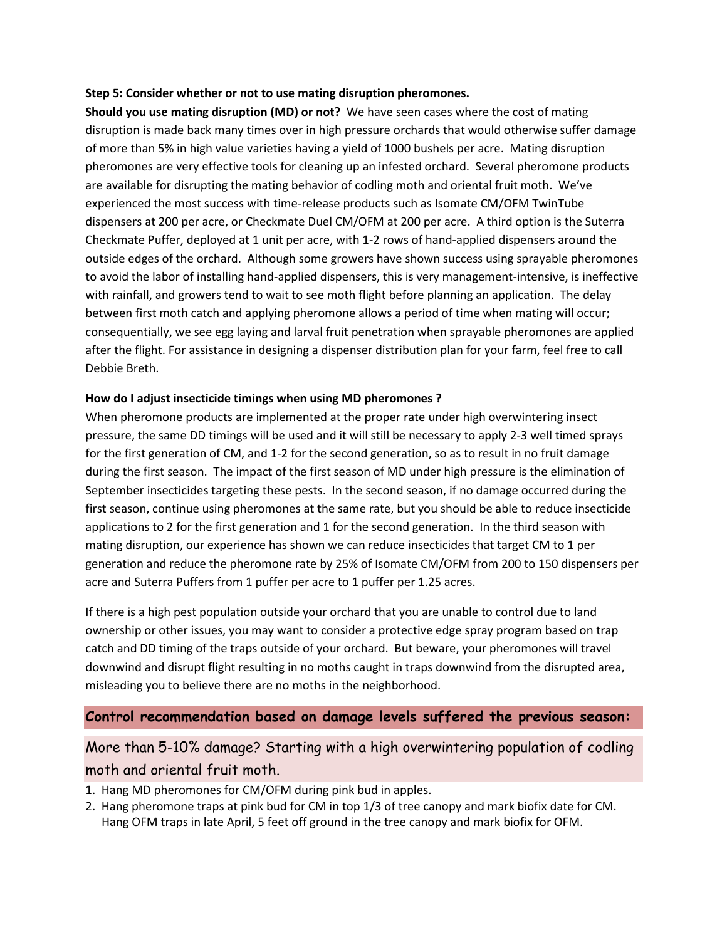### **Step 5: Consider whether or not to use mating disruption pheromones.**

**Should you use mating disruption (MD) or not?** We have seen cases where the cost of mating disruption is made back many times over in high pressure orchards that would otherwise suffer damage of more than 5% in high value varieties having a yield of 1000 bushels per acre. Mating disruption pheromones are very effective tools for cleaning up an infested orchard. Several pheromone products are available for disrupting the mating behavior of codling moth and oriental fruit moth. We've experienced the most success with time-release products such as Isomate CM/OFM TwinTube dispensers at 200 per acre, or Checkmate Duel CM/OFM at 200 per acre. A third option is the Suterra Checkmate Puffer, deployed at 1 unit per acre, with 1-2 rows of hand-applied dispensers around the outside edges of the orchard. Although some growers have shown success using sprayable pheromones to avoid the labor of installing hand-applied dispensers, this is very management-intensive, is ineffective with rainfall, and growers tend to wait to see moth flight before planning an application. The delay between first moth catch and applying pheromone allows a period of time when mating will occur; consequentially, we see egg laying and larval fruit penetration when sprayable pheromones are applied after the flight. For assistance in designing a dispenser distribution plan for your farm, feel free to call Debbie Breth.

#### **How do I adjust insecticide timings when using MD pheromones ?**

When pheromone products are implemented at the proper rate under high overwintering insect pressure, the same DD timings will be used and it will still be necessary to apply 2-3 well timed sprays for the first generation of CM, and 1-2 for the second generation, so as to result in no fruit damage during the first season. The impact of the first season of MD under high pressure is the elimination of September insecticides targeting these pests. In the second season, if no damage occurred during the first season, continue using pheromones at the same rate, but you should be able to reduce insecticide applications to 2 for the first generation and 1 for the second generation. In the third season with mating disruption, our experience has shown we can reduce insecticides that target CM to 1 per generation and reduce the pheromone rate by 25% of Isomate CM/OFM from 200 to 150 dispensers per acre and Suterra Puffers from 1 puffer per acre to 1 puffer per 1.25 acres.

If there is a high pest population outside your orchard that you are unable to control due to land ownership or other issues, you may want to consider a protective edge spray program based on trap catch and DD timing of the traps outside of your orchard. But beware, your pheromones will travel downwind and disrupt flight resulting in no moths caught in traps downwind from the disrupted area, misleading you to believe there are no moths in the neighborhood.

## **Control recommendation based on damage levels suffered the previous season:**

## More than 5-10% damage? Starting with a high overwintering population of codling moth and oriental fruit moth.

- 1. Hang MD pheromones for CM/OFM during pink bud in apples.
- 2. Hang pheromone traps at pink bud for CM in top 1/3 of tree canopy and mark biofix date for CM. Hang OFM traps in late April, 5 feet off ground in the tree canopy and mark biofix for OFM.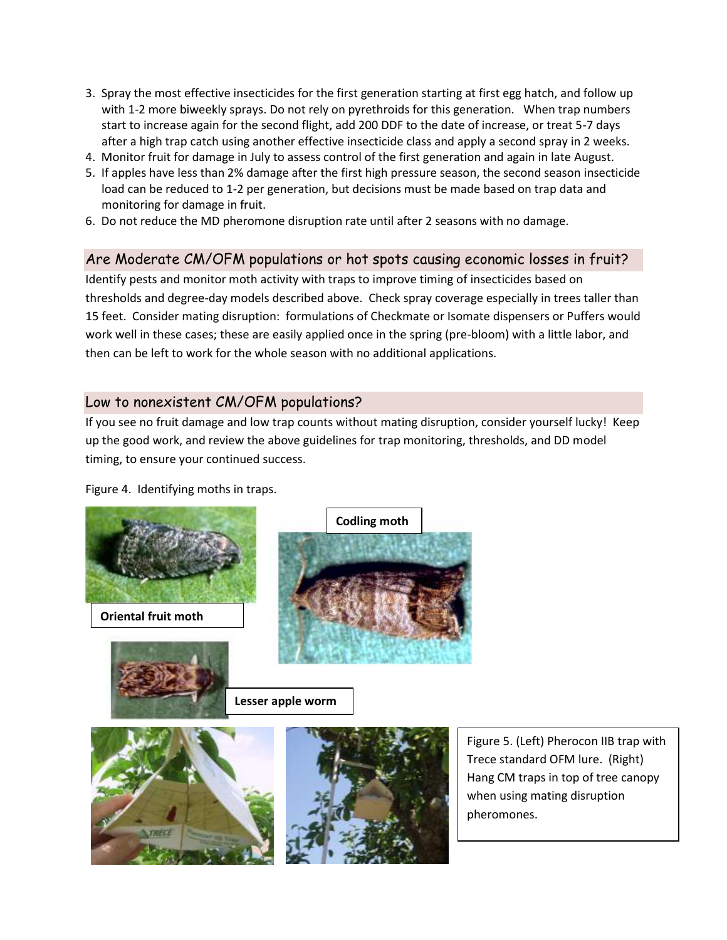- 3. Spray the most effective insecticides for the first generation starting at first egg hatch, and follow up with 1-2 more biweekly sprays. Do not rely on pyrethroids for this generation. When trap numbers start to increase again for the second flight, add 200 DDF to the date of increase, or treat 5-7 days after a high trap catch using another effective insecticide class and apply a second spray in 2 weeks.
- 4. Monitor fruit for damage in July to assess control of the first generation and again in late August.
- 5. If apples have less than 2% damage after the first high pressure season, the second season insecticide load can be reduced to 1-2 per generation, but decisions must be made based on trap data and monitoring for damage in fruit.
- 6. Do not reduce the MD pheromone disruption rate until after 2 seasons with no damage.

## Are Moderate CM/OFM populations or hot spots causing economic losses in fruit?

Identify pests and monitor moth activity with traps to improve timing of insecticides based on thresholds and degree-day models described above. Check spray coverage especially in trees taller than 15 feet. Consider mating disruption: formulations of Checkmate or Isomate dispensers or Puffers would work well in these cases; these are easily applied once in the spring (pre-bloom) with a little labor, and then can be left to work for the whole season with no additional applications.

## Low to nonexistent CM/OFM populations?

If you see no fruit damage and low trap counts without mating disruption, consider yourself lucky! Keep up the good work, and review the above guidelines for trap monitoring, thresholds, and DD model timing, to ensure your continued success.

Figure 4. Identifying moths in traps.



Figure 5. (Left) Pherocon IIB trap with Trece standard OFM lure. (Right) Hang CM traps in top of tree canopy when using mating disruption pheromones.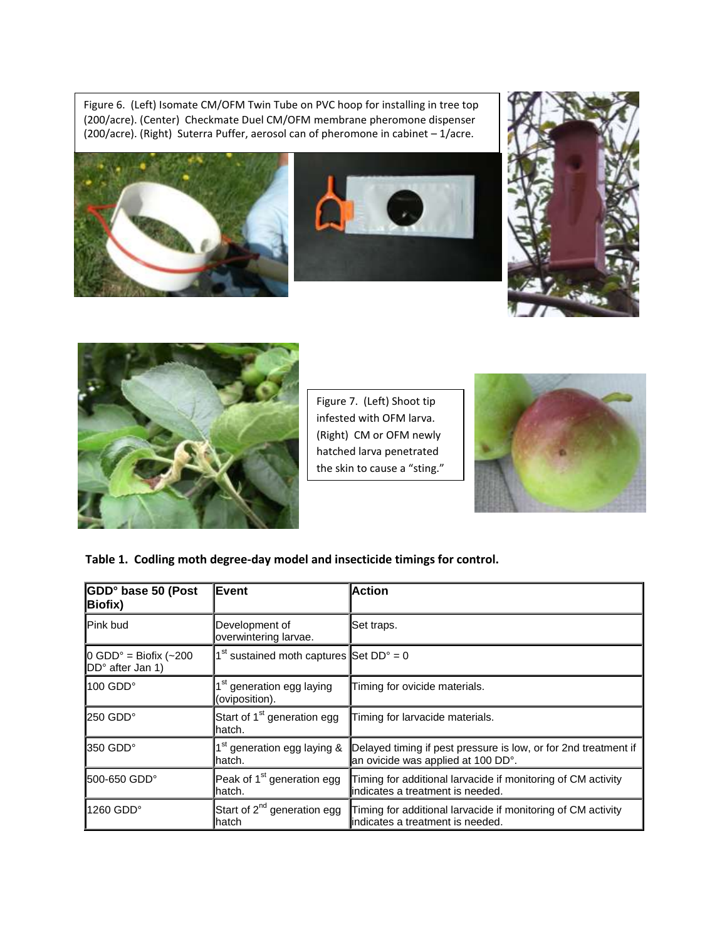(200/acre). (Right) Suterra Puffer, aerosol can of pheromone in cabinet – 1/acre. Figure 6. (Left) Isomate CM/OFM Twin Tube on PVC hoop for installing in tree top (200/acre). (Center) Checkmate Duel CM/OFM membrane pheromone dispenser









Figure 7. (Left) Shoot tip infested with OFM larva. (Right) CM or OFM newly hatched larva penetrated the skin to cause a "sting."



## **Table 1. Codling moth degree-day model and insecticide timings for control.**

| GDD° base 50 (Post<br><b>Biofix)</b>              | <b>Event</b>                                            | <b>Action</b>                                                                                         |  |  |
|---------------------------------------------------|---------------------------------------------------------|-------------------------------------------------------------------------------------------------------|--|--|
| <b>IPink bud</b>                                  | Development of<br>overwintering larvae.                 | Set traps.                                                                                            |  |  |
| $\vert$ 0 GDD° = Biofix (~200<br>DD° after Jan 1) | $1st$ sustained moth captures Set DD° = 0               |                                                                                                       |  |  |
| $100$ GDD $^{\circ}$                              | 1 <sup>st</sup> generation egg laying<br>(oviposition). | Timing for ovicide materials.                                                                         |  |  |
| 250 GDD°                                          | Start of 1 <sup>st</sup> generation egg<br>hatch.       | Timing for larvacide materials.                                                                       |  |  |
| l350 GDD°                                         | 1 <sup>st</sup> generation egg laying &<br>hatch.       | Delayed timing if pest pressure is low, or for 2nd treatment if<br>an ovicide was applied at 100 DD°. |  |  |
| 500-650 GDD°                                      | Peak of 1 <sup>st</sup> generation egg<br>hatch.        | Timing for additional larvacide if monitoring of CM activity<br>lindicates a treatment is needed.     |  |  |
| $1260$ GDD $^{\circ}$                             | Start of 2 <sup>nd</sup> generation egg<br>hatch        | Timing for additional larvacide if monitoring of CM activity<br>lindicates a treatment is needed.     |  |  |